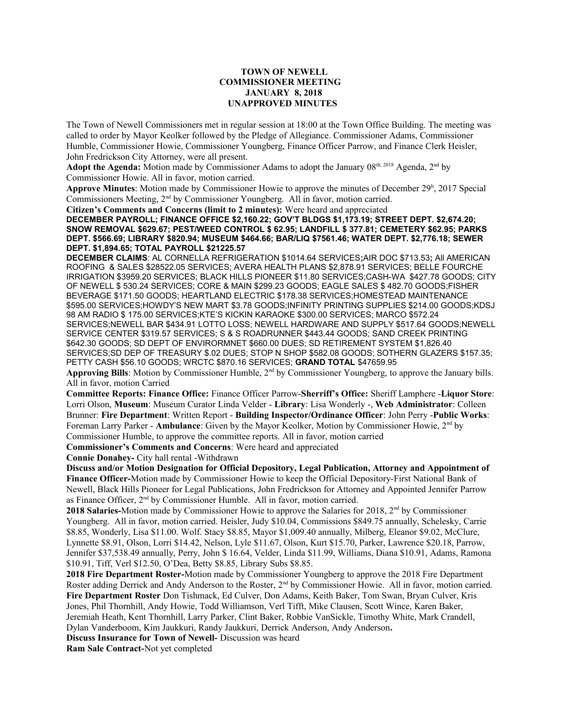## **TOWN OF NEWELL COMMISSIONER MEETING JANUARY 8, 2018 UNAPPROVED MINUTES**

The Town of Newell Commissioners met in regular session at 18:00 at the Town Office Building. The meeting was called to order by Mayor Keolker followed by the Pledge of Allegiance. Commissioner Adams, Commissioner Humble, Commissioner Howie, Commissioner Youngberg, Finance Officer Parrow, and Finance Clerk Heisler, John Fredrickson City Attorney, were all present.

Adopt the Agenda: Motion made by Commissioner Adams to adopt the January 08<sup>th, 2018</sup> Agenda, 2<sup>nd</sup> by Commissioner Howie. All in favor, motion carried.

Approve Minutes: Motion made by Commissioner Howie to approve the minutes of December 29<sup>h</sup>, 2017 Special Commissioners Meeting, 2nd by Commissioner Youngberg. All in favor, motion carried.

**Citizen's Comments and Concerns (limit to 2 minutes):** Were heard and appreciated **DECEMBER PAYROLL; FINANCE OFFICE \$2,160.22; GOV'T BLDGS \$1,173.19; STREET DEPT. \$2,674.20; SNOW REMOVAL \$629.67; PEST/WEED CONTROL \$ 62.95; LANDFILL \$ 377.81; CEMETERY \$62.95; PARKS DEPT. \$566.69; LIBRARY \$820.94; MUSEUM \$464.66; BAR/LIQ \$7561.46; WATER DEPT. \$2,776.18; SEWER DEPT. \$1,894.65; TOTAL PAYROLL \$21225.57**

**DECEMBER CLAIMS**: AL CORNELLA REFRIGERATION \$1014.64 SERVICES**;**AIR DOC \$713.53**;** All AMERICAN ROOFING & SALES \$28522.05 SERVICES; AVERA HEALTH PLANS \$2,878.91 SERVICES; BELLE FOURCHE IRRIGATION \$3959.20 SERVICES; BLACK HILLS PIONEER \$11.80 SERVICES;CASH-WA \$427.78 GOODS; CITY OF NEWELL \$ 530.24 SERVICES; CORE & MAIN \$299.23 GOODS; EAGLE SALES \$ 482.70 GOODS;FISHER BEVERAGE \$171.50 GOODS; HEARTLAND ELECTRIC \$178.38 SERVICES;HOMESTEAD MAINTENANCE \$595.00 SERVICES;HOWDY'S NEW MART \$3.78 GOODS;INFINITY PRINTING SUPPLIES \$214.00 GOODS;KDSJ 98 AM RADIO \$ 175.00 SERVICES;KTE'S KICKIN KARAOKE \$300.00 SERVICES; MARCO \$572.24 SERVICES;NEWELL BAR \$434.91 LOTTO LOSS; NEWELL HARDWARE AND SUPPLY \$517.64 GOODS;NEWELL SERVICE CENTER \$319.57 SERVICES; S & S ROADRUNNER \$443.44 GOODS; SAND CREEK PRINTING \$642.30 GOODS; SD DEPT OF ENVIRORMNET \$660.00 DUES; SD RETIREMENT SYSTEM \$1,826.40 SERVICES;SD DEP OF TREASURY \$.02 DUES; STOP N SHOP \$582.08 GOODS; SOTHERN GLAZERS \$157.35; PETTY CASH \$56.10 GOODS; WRCTC \$870.16 SERVICES; **GRAND TOTAL** \$47659.95

Approving Bills: Motion by Commissioner Humble, 2<sup>nd</sup> by Commissioner Youngberg, to approve the January bills. All in favor, motion Carried

**Committee Reports: Finance Office:** Finance Officer Parrow-**Sherriff's Office:** Sheriff Lamphere -**Liquor Store**: Lorri Olson, **Museum**: Museum Curator Linda Velder - **Library**: Lisa Wonderly -, **Web Administrator**: Colleen Brunner: **Fire Department**: Written Report - **Building Inspector/Ordinance Officer**: John Perry -**Public Works**: Foreman Larry Parker - **Ambulance**: Given by the Mayor Keolker, Motion by Commissioner Howie, 2nd by Commissioner Humble, to approve the committee reports. All in favor, motion carried

**Commissioner's Comments and Concerns**: Were heard and appreciated

**Connie Donahey-** City hall rental -Withdrawn

**Discuss and/or Motion Designation for Official Depository, Legal Publication, Attorney and Appointment of Finance Officer-**Motion made by Commissioner Howie to keep the Official Depository-First National Bank of Newell, Black Hills Pioneer for Legal Publications, John Fredrickson for Attorney and Appointed Jennifer Parrow as Finance Officer, 2nd by Commissioner Humble. All in favor, motion carried.

2018 Salaries-Motion made by Commissioner Howie to approve the Salaries for 2018, 2<sup>nd</sup> by Commissioner Youngberg. All in favor, motion carried. Heisler, Judy \$10.04, Commissions \$849.75 annually, Schelesky, Carrie \$8.85, Wonderly, Lisa \$11.00. Wolf. Stacy \$8.85, Mayor \$1,009.40 annually, Milberg, Eleanor \$9.02, McClure, Lynnette \$8.91, Olson, Lorri \$14.42, Nelson, Lyle \$11.67, Olson, Kurt \$15.70, Parker, Lawrence \$20.18, Parrow, Jennifer \$37,538.49 annually, Perry, John \$ 16.64, Velder, Linda \$11.99, Williams, Diana \$10.91, Adams, Ramona \$10.91, Tiff, Verl \$12.50, O'Dea, Betty \$8.85, Library Subs \$8.85.

**2018 Fire Department Roster-**Motion made by Commissioner Youngberg to approve the 2018 Fire Department Roster adding Derrick and Andy Anderson to the Roster, 2<sup>nd</sup> by Commissioner Howie. All in favor, motion carried. **Fire Department Roster** Don Tishmack, Ed Culver, Don Adams, Keith Baker, Tom Swan, Bryan Culver, Kris Jones, Phil Thornhill, Andy Howie, Todd Williamson, Verl Tifft, Mike Clausen, Scott Wince, Karen Baker, Jeremiah Heath, Kent Thornhill, Larry Parker, Clint Baker, Robbie VanSickle, Timothy White, Mark Crandell, Dylan Vanderboom, Kim Jaukkuri, Randy Jaukkuri, Derrick Anderson, Andy Anderson**.**

**Discuss Insurance for Town of Newell-** Discussion was heard

**Ram Sale Contract-**Not yet completed